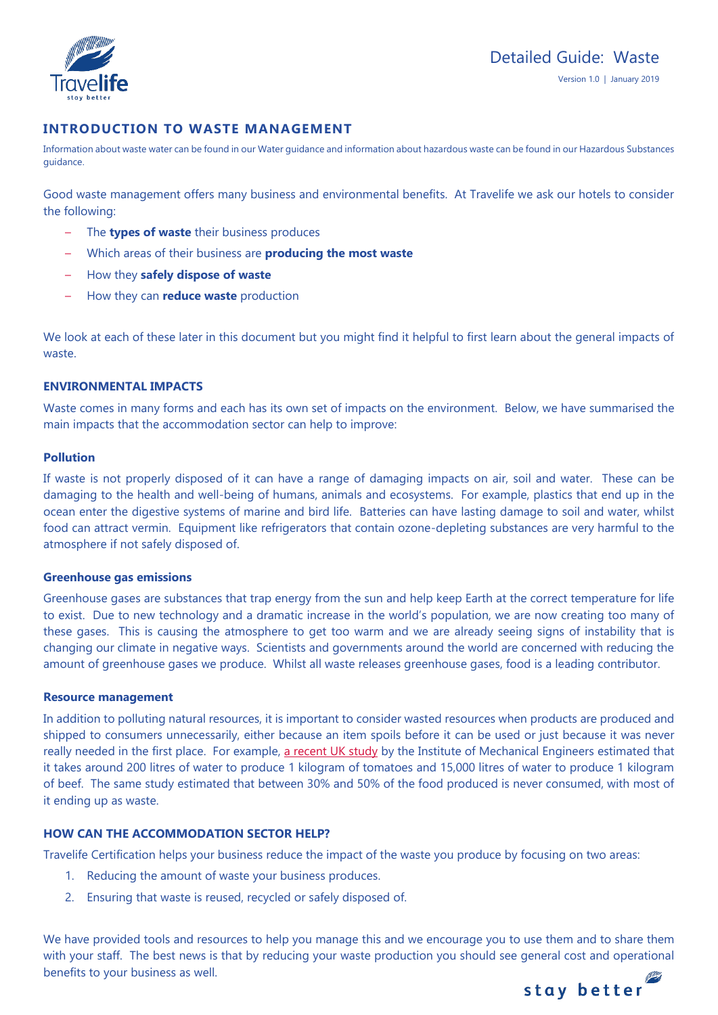

# **INTRODUCTION TO WASTE MANAGEMENT**

Information about waste water can be found in our Water guidance and information about hazardous waste can be found in our Hazardous Substances guidance.

Good waste management offers many business and environmental benefits. At Travelife we ask our hotels to consider the following:

- The **types of waste** their business produces
- Which areas of their business are **producing the most waste**
- How they **safely dispose of waste**
- How they can **reduce waste** production

We look at each of these later in this document but you might find it helpful to first learn about the general impacts of waste.

### **ENVIRONMENTAL IMPACTS**

Waste comes in many forms and each has its own set of impacts on the environment. Below, we have summarised the main impacts that the accommodation sector can help to improve:

### **Pollution**

If waste is not properly disposed of it can have a range of damaging impacts on air, soil and water. These can be damaging to the health and well-being of humans, animals and ecosystems. For example, plastics that end up in the ocean enter the digestive systems of marine and bird life. Batteries can have lasting damage to soil and water, whilst food can attract vermin. Equipment like refrigerators that contain ozone-depleting substances are very harmful to the atmosphere if not safely disposed of.

### **Greenhouse gas emissions**

Greenhouse gases are substances that trap energy from the sun and help keep Earth at the correct temperature for life to exist. Due to new technology and a dramatic increase in the world's population, we are now creating too many of these gases. This is causing the atmosphere to get too warm and we are already seeing signs of instability that is changing our climate in negative ways. Scientists and governments around the world are concerned with reducing the amount of greenhouse gases we produce. Whilst all waste releases greenhouse gases, food is a leading contributor.

### **Resource management**

In addition to polluting natural resources, it is important to consider wasted resources when products are produced and shipped to consumers unnecessarily, either because an item spoils before it can be used or just because it was never really needed in the first place. For example, [a recent UK study](https://www.theguardian.com/news/datablog/2013/jan/10/how-much-water-food-production-waste) by the Institute of Mechanical Engineers estimated that it takes around 200 litres of water to produce 1 kilogram of tomatoes and 15,000 litres of water to produce 1 kilogram of beef. The same study estimated that between 30% and 50% of the food produced is never consumed, with most of it ending up as waste.

## **HOW CAN THE ACCOMMODATION SECTOR HELP?**

Travelife Certification helps your business reduce the impact of the waste you produce by focusing on two areas:

- 1. Reducing the amount of waste your business produces.
- 2. Ensuring that waste is reused, recycled or safely disposed of.

We have provided tools and resources to help you manage this and we encourage you to use them and to share them with your staff. The best news is that by reducing your waste production you should see general cost and operational benefits to your business as well.

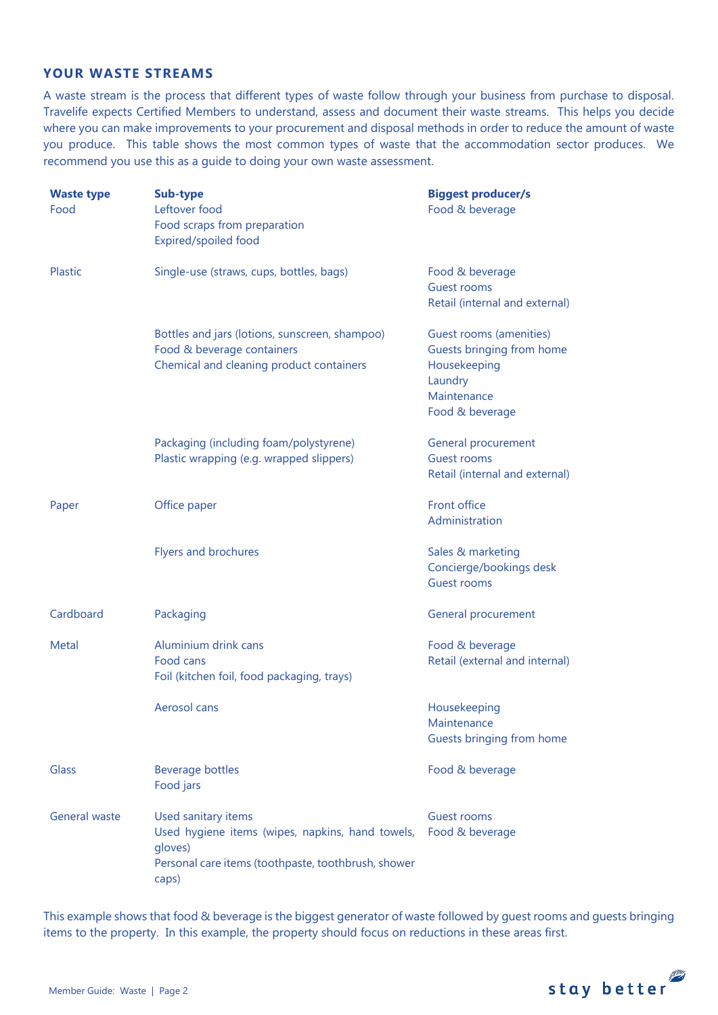# **YOUR WASTE STREAMS**

A waste stream is the process that different types of waste follow through your business from purchase to disposal. Travelife expects Certified Members to understand, assess and document their waste streams. This helps you decide where you can make improvements to your procurement and disposal methods in order to reduce the amount of waste you produce. This table shows the most common types of waste that the accommodation sector produces. We recommend you use this as a guide to doing your own waste assessment.

| <b>Waste type</b><br>Food | Sub-type<br>Leftover food<br>Food scraps from preparation<br>Expired/spoiled food                                                                  | <b>Biggest producer/s</b><br>Food & beverage                                                                      |  |
|---------------------------|----------------------------------------------------------------------------------------------------------------------------------------------------|-------------------------------------------------------------------------------------------------------------------|--|
| <b>Plastic</b>            | Single-use (straws, cups, bottles, bags)                                                                                                           | Food & beverage<br><b>Guest rooms</b><br>Retail (internal and external)                                           |  |
|                           | Bottles and jars (lotions, sunscreen, shampoo)<br>Food & beverage containers<br>Chemical and cleaning product containers                           | Guest rooms (amenities)<br>Guests bringing from home<br>Housekeeping<br>Laundry<br>Maintenance<br>Food & beverage |  |
|                           | Packaging (including foam/polystyrene)<br>Plastic wrapping (e.g. wrapped slippers)                                                                 | General procurement<br><b>Guest rooms</b><br>Retail (internal and external)                                       |  |
| Paper                     | Office paper                                                                                                                                       | Front office<br>Administration                                                                                    |  |
|                           | Flyers and brochures                                                                                                                               | Sales & marketing<br>Concierge/bookings desk<br><b>Guest rooms</b>                                                |  |
| Cardboard                 | Packaging                                                                                                                                          | General procurement                                                                                               |  |
| Metal                     | Aluminium drink cans<br>Food cans<br>Foil (kitchen foil, food packaging, trays)                                                                    | Food & beverage<br>Retail (external and internal)                                                                 |  |
|                           | Aerosol cans                                                                                                                                       | Housekeeping<br>Maintenance<br>Guests bringing from home                                                          |  |
| <b>Glass</b>              | <b>Beverage bottles</b><br>Food jars                                                                                                               | Food & beverage                                                                                                   |  |
| <b>General waste</b>      | Used sanitary items<br>Used hygiene items (wipes, napkins, hand towels,<br>gloves)<br>Personal care items (toothpaste, toothbrush, shower<br>caps) | Guest rooms<br>Food & beverage                                                                                    |  |

This example shows that food & beverage is the biggest generator of waste followed by guest rooms and guests bringing items to the property. In this example, the property should focus on reductions in these areas first.

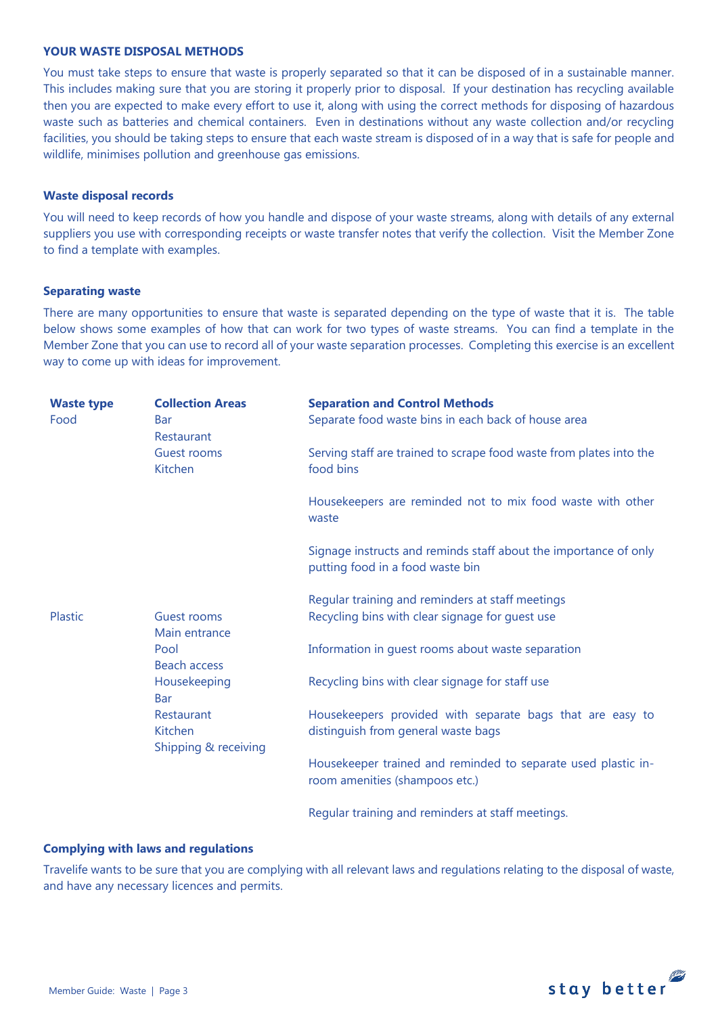### **YOUR WASTE DISPOSAL METHODS**

You must take steps to ensure that waste is properly separated so that it can be disposed of in a sustainable manner. This includes making sure that you are storing it properly prior to disposal. If your destination has recycling available then you are expected to make every effort to use it, along with using the correct methods for disposing of hazardous waste such as batteries and chemical containers. Even in destinations without any waste collection and/or recycling facilities, you should be taking steps to ensure that each waste stream is disposed of in a way that is safe for people and wildlife, minimises pollution and greenhouse gas emissions.

### **Waste disposal records**

You will need to keep records of how you handle and dispose of your waste streams, along with details of any external suppliers you use with corresponding receipts or waste transfer notes that verify the collection. Visit the Member Zone to find a template with examples.

### **Separating waste**

There are many opportunities to ensure that waste is separated depending on the type of waste that it is. The table below shows some examples of how that can work for two types of waste streams. You can find a template in the Member Zone that you can use to record all of your waste separation processes. Completing this exercise is an excellent way to come up with ideas for improvement.

| <b>Waste type</b> | <b>Collection Areas</b>      | <b>Separation and Control Methods</b>                                                                |
|-------------------|------------------------------|------------------------------------------------------------------------------------------------------|
| Food              | <b>Bar</b><br>Restaurant     | Separate food waste bins in each back of house area                                                  |
|                   | Guest rooms<br>Kitchen       | Serving staff are trained to scrape food waste from plates into the<br>food bins                     |
|                   |                              | Housekeepers are reminded not to mix food waste with other<br>waste                                  |
|                   |                              | Signage instructs and reminds staff about the importance of only<br>putting food in a food waste bin |
|                   |                              | Regular training and reminders at staff meetings                                                     |
| Plastic           | Guest rooms<br>Main entrance | Recycling bins with clear signage for guest use                                                      |
|                   | Pool<br><b>Beach access</b>  | Information in guest rooms about waste separation                                                    |
|                   | Housekeeping<br><b>Bar</b>   | Recycling bins with clear signage for staff use                                                      |
|                   | Restaurant                   | Housekeepers provided with separate bags that are easy to                                            |
|                   | Kitchen                      | distinguish from general waste bags                                                                  |
|                   | Shipping & receiving         |                                                                                                      |
|                   |                              | Housekeeper trained and reminded to separate used plastic in-<br>room amenities (shampoos etc.)      |
|                   |                              | Regular training and reminders at staff meetings.                                                    |

### **Complying with laws and regulations**

Travelife wants to be sure that you are complying with all relevant laws and regulations relating to the disposal of waste, and have any necessary licences and permits.

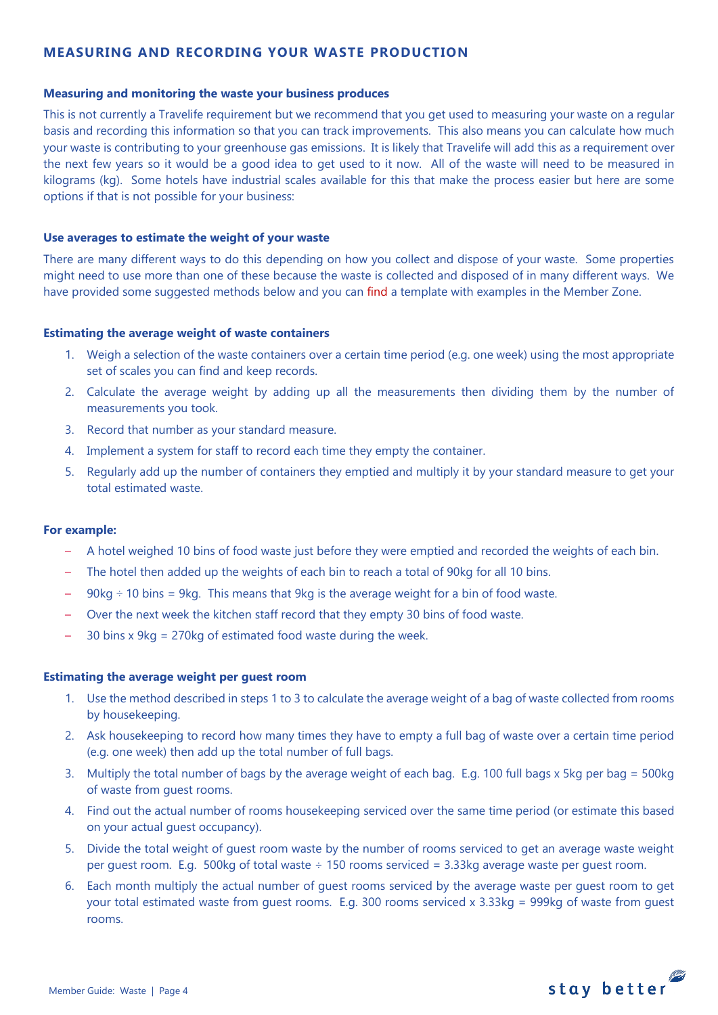# **MEASURING AND RECORDING YOUR WASTE PRODUCTION**

### **Measuring and monitoring the waste your business produces**

This is not currently a Travelife requirement but we recommend that you get used to measuring your waste on a regular basis and recording this information so that you can track improvements. This also means you can calculate how much your waste is contributing to your greenhouse gas emissions. It is likely that Travelife will add this as a requirement over the next few years so it would be a good idea to get used to it now. All of the waste will need to be measured in kilograms (kg). Some hotels have industrial scales available for this that make the process easier but here are some options if that is not possible for your business:

### **Use averages to estimate the weight of your waste**

There are many different ways to do this depending on how you collect and dispose of your waste. Some properties might need to use more than one of these because the waste is collected and disposed of in many different ways. We have provided some suggested methods below and you can find a template with examples in the Member Zone.

### **Estimating the average weight of waste containers**

- 1. Weigh a selection of the waste containers over a certain time period (e.g. one week) using the most appropriate set of scales you can find and keep records.
- 2. Calculate the average weight by adding up all the measurements then dividing them by the number of measurements you took.
- 3. Record that number as your standard measure.
- 4. Implement a system for staff to record each time they empty the container.
- 5. Regularly add up the number of containers they emptied and multiply it by your standard measure to get your total estimated waste.

### **For example:**

- A hotel weighed 10 bins of food waste just before they were emptied and recorded the weights of each bin.
- The hotel then added up the weights of each bin to reach a total of 90kg for all 10 bins.
- $90kg \div 10$  bins = 9kg. This means that 9kg is the average weight for a bin of food waste.
- Over the next week the kitchen staff record that they empty 30 bins of food waste.
- 30 bins  $x$  9kg = 270kg of estimated food waste during the week.

### **Estimating the average weight per guest room**

- 1. Use the method described in steps 1 to 3 to calculate the average weight of a bag of waste collected from rooms by housekeeping.
- 2. Ask housekeeping to record how many times they have to empty a full bag of waste over a certain time period (e.g. one week) then add up the total number of full bags.
- 3. Multiply the total number of bags by the average weight of each bag. E.g. 100 full bags x 5kg per bag = 500kg of waste from guest rooms.
- 4. Find out the actual number of rooms housekeeping serviced over the same time period (or estimate this based on your actual guest occupancy).
- 5. Divide the total weight of guest room waste by the number of rooms serviced to get an average waste weight per guest room. E.g. 500kg of total waste  $\div$  150 rooms serviced = 3.33kg average waste per guest room.
- 6. Each month multiply the actual number of guest rooms serviced by the average waste per guest room to get your total estimated waste from guest rooms. E.g. 300 rooms serviced x 3.33kg = 999kg of waste from guest rooms.

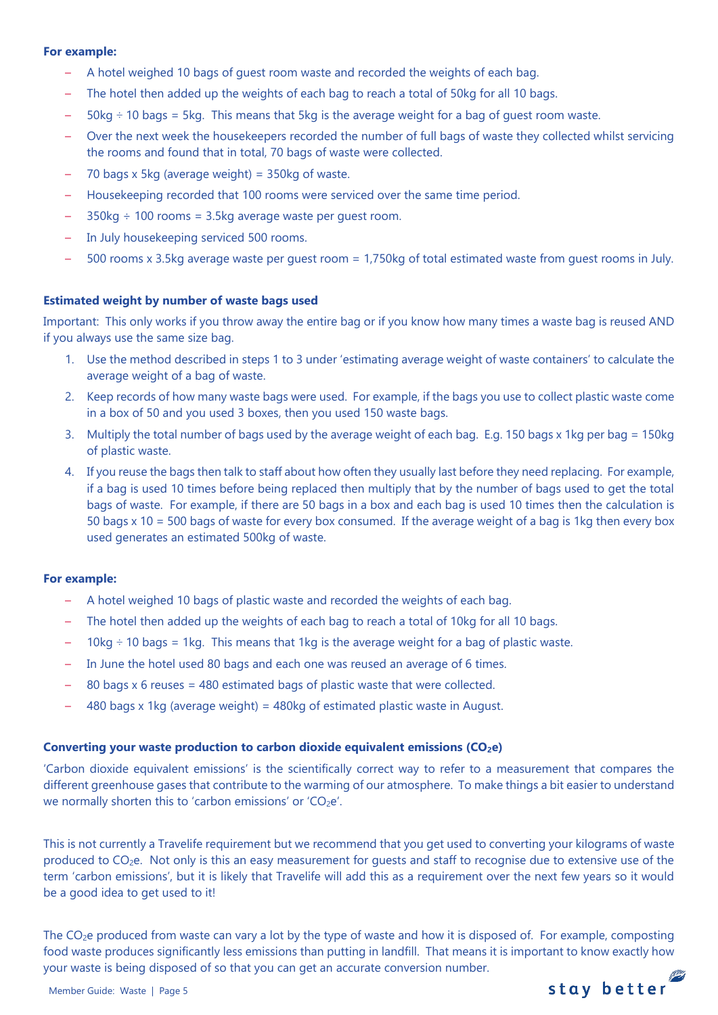### **For example:**

- A hotel weighed 10 bags of guest room waste and recorded the weights of each bag.
- The hotel then added up the weights of each bag to reach a total of 50kg for all 10 bags.
- $-50\text{kg} \div 10$  bags = 5kg. This means that 5kg is the average weight for a bag of guest room waste.
- Over the next week the housekeepers recorded the number of full bags of waste they collected whilst servicing the rooms and found that in total, 70 bags of waste were collected.
- 70 bags x 5kg (average weight) =  $350$ kg of waste.
- Housekeeping recorded that 100 rooms were serviced over the same time period.
- $350kg \div 100$  rooms = 3.5kg average waste per quest room.
- In July housekeeping serviced 500 rooms.
- 500 rooms x 3.5kg average waste per guest room = 1,750kg of total estimated waste from guest rooms in July.

# **Estimated weight by number of waste bags used**

Important: This only works if you throw away the entire bag or if you know how many times a waste bag is reused AND if you always use the same size bag.

- 1. Use the method described in steps 1 to 3 under 'estimating average weight of waste containers' to calculate the average weight of a bag of waste.
- 2. Keep records of how many waste bags were used. For example, if the bags you use to collect plastic waste come in a box of 50 and you used 3 boxes, then you used 150 waste bags.
- 3. Multiply the total number of bags used by the average weight of each bag. E.g. 150 bags x 1kg per bag = 150kg of plastic waste.
- 4. If you reuse the bags then talk to staff about how often they usually last before they need replacing. For example, if a bag is used 10 times before being replaced then multiply that by the number of bags used to get the total bags of waste. For example, if there are 50 bags in a box and each bag is used 10 times then the calculation is 50 bags x 10 = 500 bags of waste for every box consumed. If the average weight of a bag is 1kg then every box used generates an estimated 500kg of waste.

## **For example:**

- A hotel weighed 10 bags of plastic waste and recorded the weights of each bag.
- The hotel then added up the weights of each bag to reach a total of 10kg for all 10 bags.
- $10kg \div 10$  bags = 1kg. This means that 1kg is the average weight for a bag of plastic waste.
- In June the hotel used 80 bags and each one was reused an average of 6 times.
- 80 bags  $x$  6 reuses = 480 estimated bags of plastic waste that were collected.
- 480 bags x 1kg (average weight) =  $480$ kg of estimated plastic waste in August.

## **Converting your waste production to carbon dioxide equivalent emissions (CO2e)**

'Carbon dioxide equivalent emissions' is the scientifically correct way to refer to a measurement that compares the different greenhouse gases that contribute to the warming of our atmosphere. To make things a bit easier to understand we normally shorten this to 'carbon emissions' or 'CO<sub>2</sub>e'.

This is not currently a Travelife requirement but we recommend that you get used to converting your kilograms of waste produced to CO2e. Not only is this an easy measurement for guests and staff to recognise due to extensive use of the term 'carbon emissions', but it is likely that Travelife will add this as a requirement over the next few years so it would be a good idea to get used to it!

The  $CO<sub>2</sub>e$  produced from waste can vary a lot by the type of waste and how it is disposed of. For example, composting food waste produces significantly less emissions than putting in landfill. That means it is important to know exactly how your waste is being disposed of so that you can get an accurate conversion number.

stay better

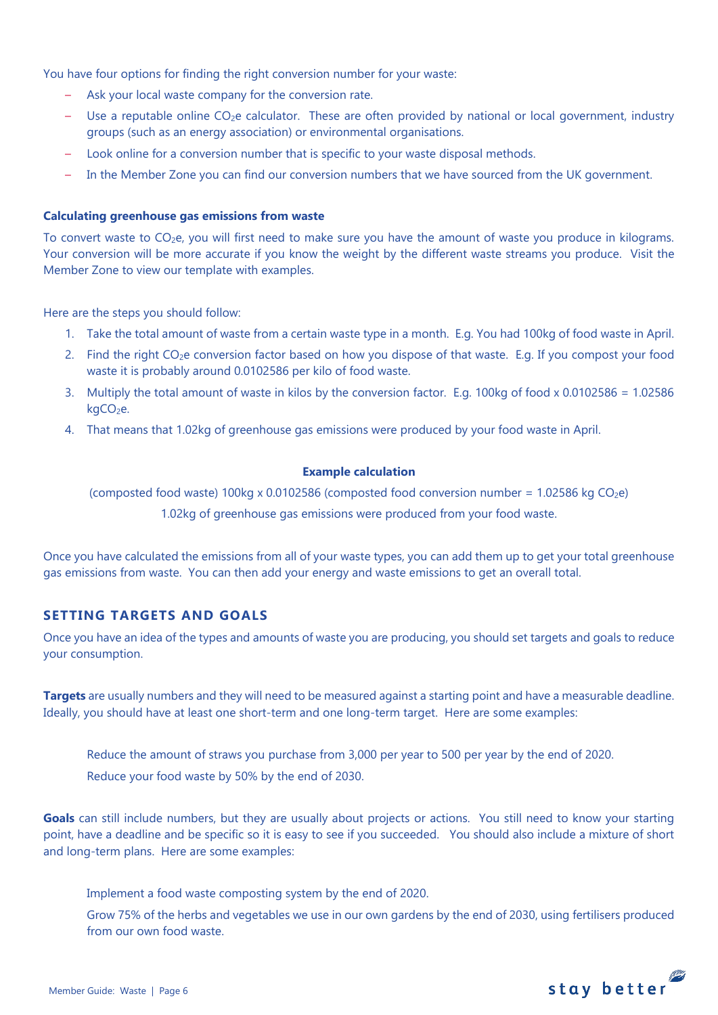You have four options for finding the right conversion number for your waste:

- Ask your local waste company for the conversion rate.
- $-$  Use a reputable online CO<sub>2</sub>e calculator. These are often provided by national or local government, industry groups (such as an energy association) or environmental organisations.
- Look online for a conversion number that is specific to your waste disposal methods.
- In the Member Zone you can find our conversion numbers that we have sourced from the UK government.

### **Calculating greenhouse gas emissions from waste**

To convert waste to  $CO<sub>2</sub>e$ , you will first need to make sure you have the amount of waste you produce in kilograms. Your conversion will be more accurate if you know the weight by the different waste streams you produce. Visit the Member Zone to view our template with examples.

Here are the steps you should follow:

- 1. Take the total amount of waste from a certain waste type in a month. E.g. You had 100kg of food waste in April.
- 2. Find the right CO<sub>2</sub>e conversion factor based on how you dispose of that waste. E.g. If you compost your food waste it is probably around 0.0102586 per kilo of food waste.
- 3. Multiply the total amount of waste in kilos by the conversion factor. E.g. 100kg of food x 0.0102586 = 1.02586 kgCO<sub>2</sub>e.
- 4. That means that 1.02kg of greenhouse gas emissions were produced by your food waste in April.

# **Example calculation**

(composted food waste) 100kg x 0.0102586 (composted food conversion number =  $1.02586$  kg CO<sub>2</sub>e)

1.02kg of greenhouse gas emissions were produced from your food waste.

Once you have calculated the emissions from all of your waste types, you can add them up to get your total greenhouse gas emissions from waste. You can then add your energy and waste emissions to get an overall total.

# **SETTING TARGETS AND GOALS**

Once you have an idea of the types and amounts of waste you are producing, you should set targets and goals to reduce your consumption.

**Targets** are usually numbers and they will need to be measured against a starting point and have a measurable deadline. Ideally, you should have at least one short-term and one long-term target. Here are some examples:

Reduce the amount of straws you purchase from 3,000 per year to 500 per year by the end of 2020. Reduce your food waste by 50% by the end of 2030.

Goals can still include numbers, but they are usually about projects or actions. You still need to know your starting point, have a deadline and be specific so it is easy to see if you succeeded. You should also include a mixture of short and long-term plans. Here are some examples:

Implement a food waste composting system by the end of 2020.

Grow 75% of the herbs and vegetables we use in our own gardens by the end of 2030, using fertilisers produced from our own food waste.

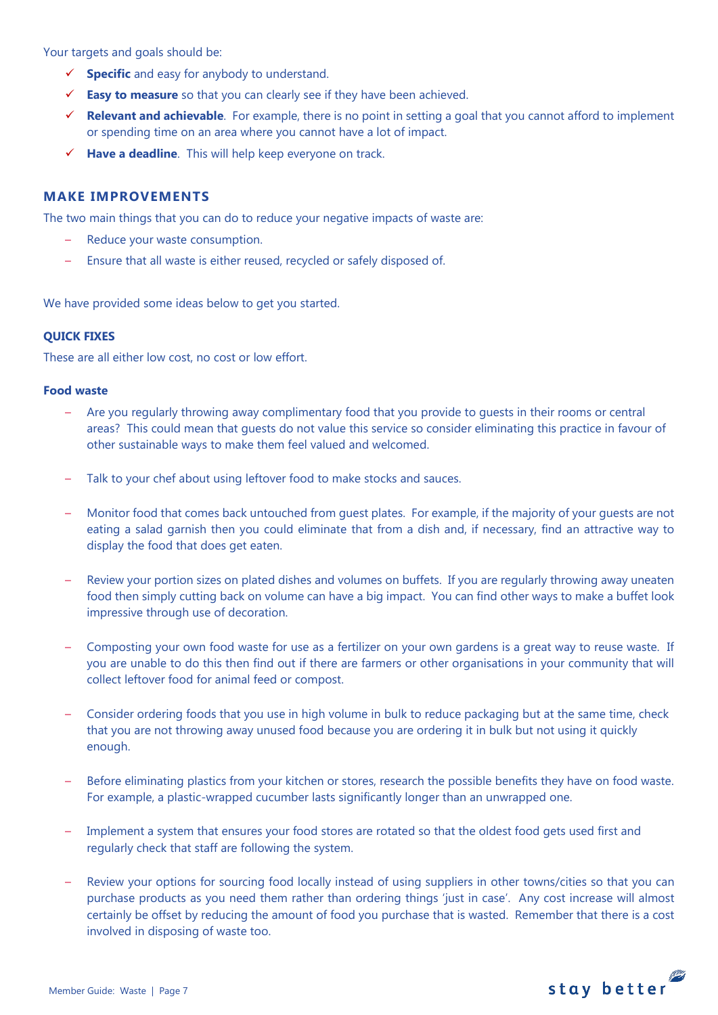Your targets and goals should be:

- **Specific** and easy for anybody to understand.
- **Easy to measure** so that you can clearly see if they have been achieved.
- **Relevant and achievable**. For example, there is no point in setting a goal that you cannot afford to implement or spending time on an area where you cannot have a lot of impact.
- **Have a deadline**. This will help keep everyone on track.

## **MAKE IMPROVEMENTS**

The two main things that you can do to reduce your negative impacts of waste are:

- Reduce your waste consumption.
- Ensure that all waste is either reused, recycled or safely disposed of.

We have provided some ideas below to get you started.

### **QUICK FIXES**

These are all either low cost, no cost or low effort.

## **Food waste**

- Are you regularly throwing away complimentary food that you provide to guests in their rooms or central areas? This could mean that guests do not value this service so consider eliminating this practice in favour of other sustainable ways to make them feel valued and welcomed.
- Talk to your chef about using leftover food to make stocks and sauces.
- Monitor food that comes back untouched from guest plates. For example, if the majority of your guests are not eating a salad garnish then you could eliminate that from a dish and, if necessary, find an attractive way to display the food that does get eaten.
- Review your portion sizes on plated dishes and volumes on buffets. If you are regularly throwing away uneaten food then simply cutting back on volume can have a big impact. You can find other ways to make a buffet look impressive through use of decoration.
- Composting your own food waste for use as a fertilizer on your own gardens is a great way to reuse waste. If you are unable to do this then find out if there are farmers or other organisations in your community that will collect leftover food for animal feed or compost.
- Consider ordering foods that you use in high volume in bulk to reduce packaging but at the same time, check that you are not throwing away unused food because you are ordering it in bulk but not using it quickly enough.
- Before eliminating plastics from your kitchen or stores, research the possible benefits they have on food waste. For example, a plastic-wrapped cucumber lasts significantly longer than an unwrapped one.
- Implement a system that ensures your food stores are rotated so that the oldest food gets used first and regularly check that staff are following the system.
- Review your options for sourcing food locally instead of using suppliers in other towns/cities so that you can purchase products as you need them rather than ordering things 'just in case'. Any cost increase will almost certainly be offset by reducing the amount of food you purchase that is wasted. Remember that there is a cost involved in disposing of waste too.

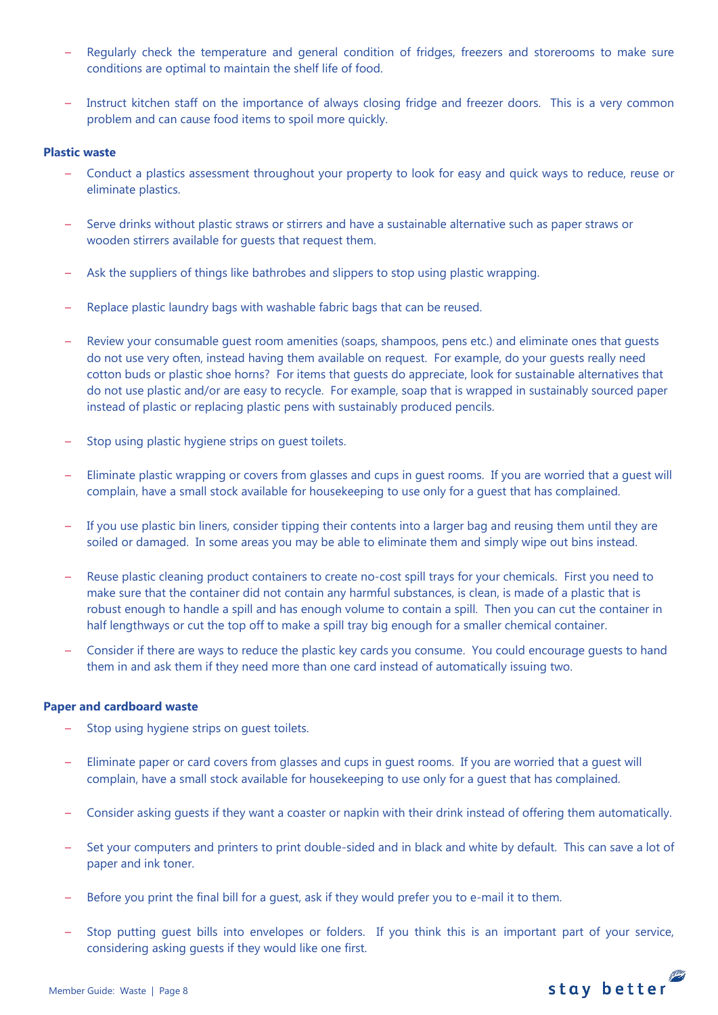- Regularly check the temperature and general condition of fridges, freezers and storerooms to make sure conditions are optimal to maintain the shelf life of food.
- Instruct kitchen staff on the importance of always closing fridge and freezer doors. This is a very common problem and can cause food items to spoil more quickly.

### **Plastic waste**

- Conduct a plastics assessment throughout your property to look for easy and quick ways to reduce, reuse or eliminate plastics.
- Serve drinks without plastic straws or stirrers and have a sustainable alternative such as paper straws or wooden stirrers available for guests that request them.
- Ask the suppliers of things like bathrobes and slippers to stop using plastic wrapping.
- Replace plastic laundry bags with washable fabric bags that can be reused.
- Review your consumable guest room amenities (soaps, shampoos, pens etc.) and eliminate ones that guests do not use very often, instead having them available on request. For example, do your guests really need cotton buds or plastic shoe horns? For items that guests do appreciate, look for sustainable alternatives that do not use plastic and/or are easy to recycle. For example, soap that is wrapped in sustainably sourced paper instead of plastic or replacing plastic pens with sustainably produced pencils.
- Stop using plastic hygiene strips on quest toilets.
- Eliminate plastic wrapping or covers from glasses and cups in guest rooms. If you are worried that a guest will complain, have a small stock available for housekeeping to use only for a guest that has complained.
- If you use plastic bin liners, consider tipping their contents into a larger bag and reusing them until they are soiled or damaged. In some areas you may be able to eliminate them and simply wipe out bins instead.
- Reuse plastic cleaning product containers to create no-cost spill trays for your chemicals. First you need to make sure that the container did not contain any harmful substances, is clean, is made of a plastic that is robust enough to handle a spill and has enough volume to contain a spill. Then you can cut the container in half lengthways or cut the top off to make a spill tray big enough for a smaller chemical container.
- Consider if there are ways to reduce the plastic key cards you consume. You could encourage guests to hand them in and ask them if they need more than one card instead of automatically issuing two.

### **Paper and cardboard waste**

- Stop using hygiene strips on quest toilets.
- Eliminate paper or card covers from glasses and cups in guest rooms. If you are worried that a guest will complain, have a small stock available for housekeeping to use only for a guest that has complained.
- Consider asking guests if they want a coaster or napkin with their drink instead of offering them automatically.
- Set your computers and printers to print double-sided and in black and white by default. This can save a lot of paper and ink toner.
- Before you print the final bill for a guest, ask if they would prefer you to e-mail it to them.
- Stop putting guest bills into envelopes or folders. If you think this is an important part of your service, considering asking guests if they would like one first.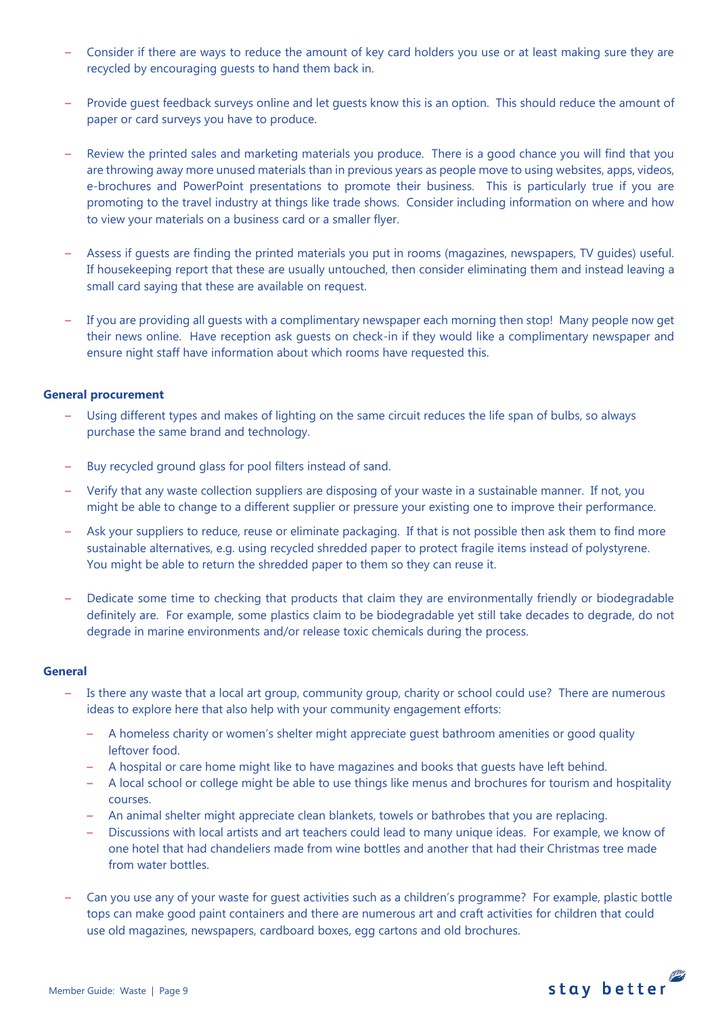- Consider if there are ways to reduce the amount of key card holders you use or at least making sure they are recycled by encouraging guests to hand them back in.
- Provide guest feedback surveys online and let guests know this is an option. This should reduce the amount of paper or card surveys you have to produce.
- Review the printed sales and marketing materials you produce. There is a good chance you will find that you are throwing away more unused materials than in previous years as people move to using websites, apps, videos, e-brochures and PowerPoint presentations to promote their business. This is particularly true if you are promoting to the travel industry at things like trade shows. Consider including information on where and how to view your materials on a business card or a smaller flyer.
- Assess if guests are finding the printed materials you put in rooms (magazines, newspapers, TV guides) useful. If housekeeping report that these are usually untouched, then consider eliminating them and instead leaving a small card saying that these are available on request.
- If you are providing all guests with a complimentary newspaper each morning then stop! Many people now get their news online. Have reception ask guests on check-in if they would like a complimentary newspaper and ensure night staff have information about which rooms have requested this.

# **General procurement**

- Using different types and makes of lighting on the same circuit reduces the life span of bulbs, so always purchase the same brand and technology.
- Buy recycled ground glass for pool filters instead of sand.
- Verify that any waste collection suppliers are disposing of your waste in a sustainable manner. If not, you might be able to change to a different supplier or pressure your existing one to improve their performance.
- Ask your suppliers to reduce, reuse or eliminate packaging. If that is not possible then ask them to find more sustainable alternatives, e.g. using recycled shredded paper to protect fragile items instead of polystyrene. You might be able to return the shredded paper to them so they can reuse it.
- Dedicate some time to checking that products that claim they are environmentally friendly or biodegradable definitely are. For example, some plastics claim to be biodegradable yet still take decades to degrade, do not degrade in marine environments and/or release toxic chemicals during the process.

### **General**

- Is there any waste that a local art group, community group, charity or school could use? There are numerous ideas to explore here that also help with your community engagement efforts:
	- A homeless charity or women's shelter might appreciate guest bathroom amenities or good quality leftover food.
	- A hospital or care home might like to have magazines and books that guests have left behind.
	- A local school or college might be able to use things like menus and brochures for tourism and hospitality courses.
	- An animal shelter might appreciate clean blankets, towels or bathrobes that you are replacing.
	- Discussions with local artists and art teachers could lead to many unique ideas. For example, we know of one hotel that had chandeliers made from wine bottles and another that had their Christmas tree made from water bottles.
- Can you use any of your waste for guest activities such as a children's programme? For example, plastic bottle tops can make good paint containers and there are numerous art and craft activities for children that could use old magazines, newspapers, cardboard boxes, egg cartons and old brochures.

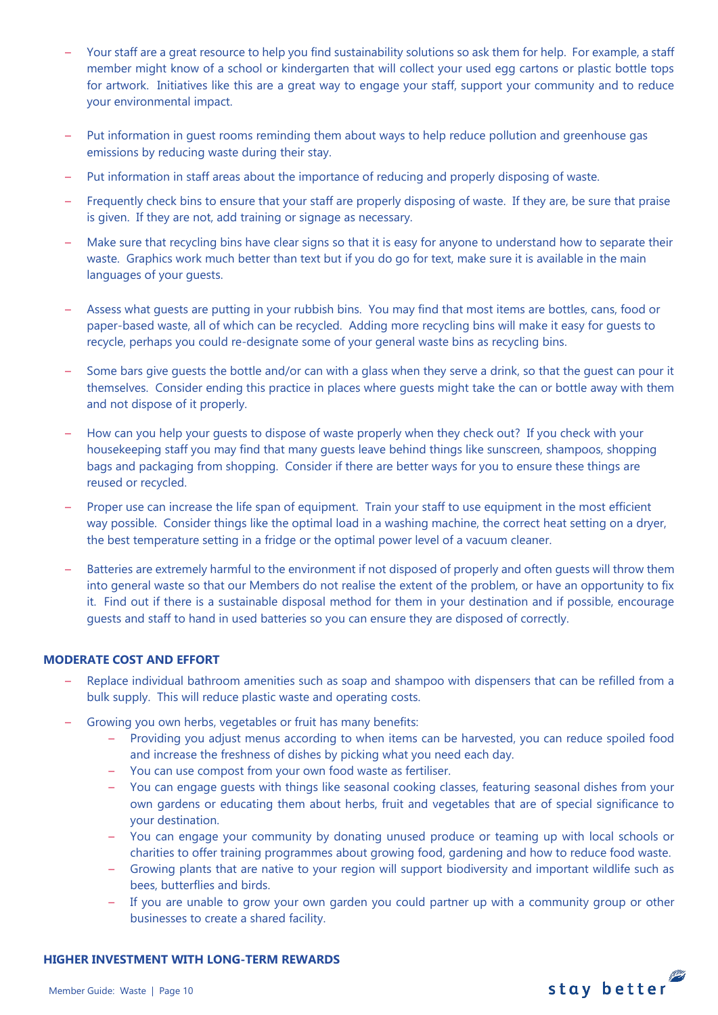- Your staff are a great resource to help you find sustainability solutions so ask them for help. For example, a staff member might know of a school or kindergarten that will collect your used egg cartons or plastic bottle tops for artwork. Initiatives like this are a great way to engage your staff, support your community and to reduce your environmental impact.
- Put information in guest rooms reminding them about ways to help reduce pollution and greenhouse gas emissions by reducing waste during their stay.
- Put information in staff areas about the importance of reducing and properly disposing of waste.
- Frequently check bins to ensure that your staff are properly disposing of waste. If they are, be sure that praise is given. If they are not, add training or signage as necessary.
- Make sure that recycling bins have clear signs so that it is easy for anyone to understand how to separate their waste. Graphics work much better than text but if you do go for text, make sure it is available in the main languages of your guests.
- Assess what guests are putting in your rubbish bins. You may find that most items are bottles, cans, food or paper-based waste, all of which can be recycled. Adding more recycling bins will make it easy for guests to recycle, perhaps you could re-designate some of your general waste bins as recycling bins.
- Some bars give guests the bottle and/or can with a glass when they serve a drink, so that the guest can pour it themselves. Consider ending this practice in places where guests might take the can or bottle away with them and not dispose of it properly.
- How can you help your guests to dispose of waste properly when they check out? If you check with your housekeeping staff you may find that many guests leave behind things like sunscreen, shampoos, shopping bags and packaging from shopping. Consider if there are better ways for you to ensure these things are reused or recycled.
- Proper use can increase the life span of equipment. Train your staff to use equipment in the most efficient way possible. Consider things like the optimal load in a washing machine, the correct heat setting on a dryer, the best temperature setting in a fridge or the optimal power level of a vacuum cleaner.
- Batteries are extremely harmful to the environment if not disposed of properly and often guests will throw them into general waste so that our Members do not realise the extent of the problem, or have an opportunity to fix it. Find out if there is a sustainable disposal method for them in your destination and if possible, encourage guests and staff to hand in used batteries so you can ensure they are disposed of correctly.

# **MODERATE COST AND EFFORT**

- Replace individual bathroom amenities such as soap and shampoo with dispensers that can be refilled from a bulk supply. This will reduce plastic waste and operating costs.
- Growing you own herbs, vegetables or fruit has many benefits:
	- Providing you adjust menus according to when items can be harvested, you can reduce spoiled food and increase the freshness of dishes by picking what you need each day.
	- You can use compost from your own food waste as fertiliser.
	- You can engage guests with things like seasonal cooking classes, featuring seasonal dishes from your own gardens or educating them about herbs, fruit and vegetables that are of special significance to your destination.
	- You can engage your community by donating unused produce or teaming up with local schools or charities to offer training programmes about growing food, gardening and how to reduce food waste.
	- Growing plants that are native to your region will support biodiversity and important wildlife such as bees, butterflies and birds.
	- If you are unable to grow your own garden you could partner up with a community group or other businesses to create a shared facility.

### **HIGHER INVESTMENT WITH LONG-TERM REWARDS**